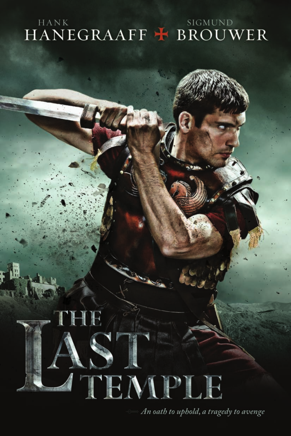#### **HANK** SIGMUND HANEGRAAFF + BROUWER

# TEMPLE

An oath to uphold, a tragedy to avenge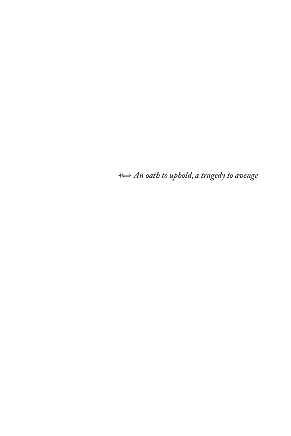*An oath to uphold, a tragedy to avenge*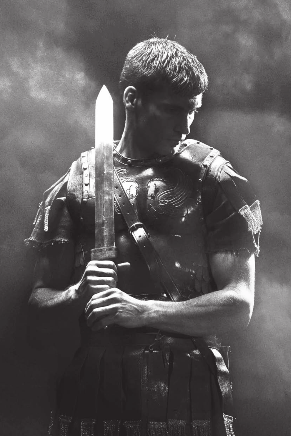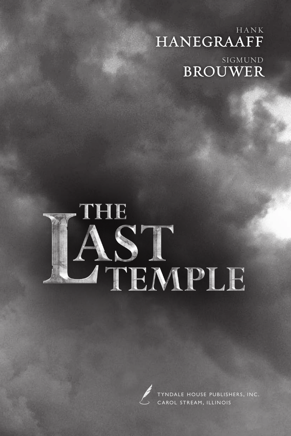HANK hanegraaff SIGMUND brouwer





TYNDALE HOUSE PUBLISHERS, INC. c arol stream, illinois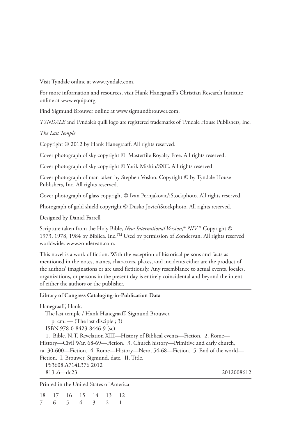Visit Tyndale online at www.tyndale.com.

For more information and resources, visit Hank Hanegraaff's Christian Research Institute online at www.equip.org.

Find Sigmund Brouwer online at www.sigmundbrouwer.com.

*TYNDALE* and Tyndale's quill logo are registered trademarks of Tyndale House Publishers, Inc.

*The Last Temple*

Copyright © 2012 by Hank Hanegraaff. All rights reserved.

Cover photograph of sky copyright © Masterfile Royalty Free. All rights reserved.

Cover photograph of sky copyright © Yarik Mishin/SXC. All rights reserved.

Cover photograph of man taken by Stephen Vosloo. Copyright © by Tyndale House Publishers, Inc. All rights reserved.

Cover photograph of glass copyright © Ivan Pernjakovic/iStockphoto. All rights reserved.

Photograph of gold shield copyright © Dusko Jovic/iStockphoto. All rights reserved.

Designed by Daniel Farrell

Scripture taken from the Holy Bible, *New International Version*, ® *NIV*. ® Copyright © 1973, 1978, 1984 by Biblica, Inc.TM Used by permission of Zondervan. All rights reserved worldwide. www.zondervan.com.

This novel is a work of fiction. With the exception of historical persons and facts as mentioned in the notes, names, characters, places, and incidents either are the product of the authors' imaginations or are used fictitiously. Any resemblance to actual events, locales, organizations, or persons in the present day is entirely coincidental and beyond the intent of either the authors or the publisher.

#### **Library of Congress Cataloging-in-Publication Data**

Hanegraaff, Hank. The last temple / Hank Hanegraaff, Sigmund Brouwer. p. cm. — (The last disciple ; 3) ISBN 978-0-8423-8446-9 (sc) 1. Bible. N.T. Revelation XIII—History of Biblical events—Fiction. 2. Rome— History—Civil War, 68-69—Fiction. 3. Church history—Primitive and early church, ca. 30-600—Fiction. 4. Rome—History—Nero, 54-68—Fiction. 5. End of the world— Fiction. I. Brouwer, Sigmund, date. II. Title. PS3608.A714L376 2012 813'.6—dc23 2012008612

Printed in the United States of America

|  |  | 18  17  16  15  14  13  12 |  |
|--|--|----------------------------|--|
|  |  | 7 6 5 4 3 2 1              |  |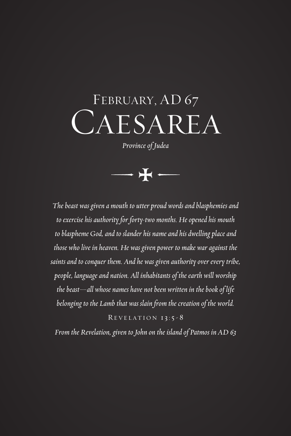### FEBRUARY, AD 67 CAESAREA

*Province of Judea*

 $\longrightarrow$   $\mathbf{L}$  -

*The beast was given a mouth to utter proud words and blasphemies and to exercise his authority for forty-two months. He opened his mouth to blaspheme God, and to slander his name and his dwelling place and those who live in heaven. He was given power to make war against the saints and to conquer them. And he was given authority over every tribe, people, language and nation. All inhabitants of the earth will worship the beast—all whose names have not been written in the book of life belonging to the Lamb that was slain from the creation of the world.*

 $REVELATION I3:5-8$ 

*From the Revelation, given to John on the island of Patmos in AD 63*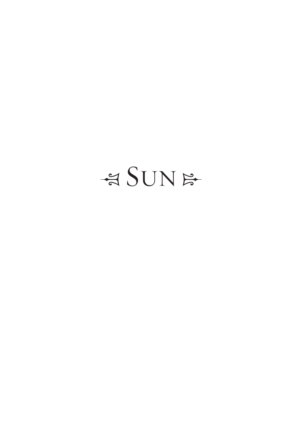## $SUNF$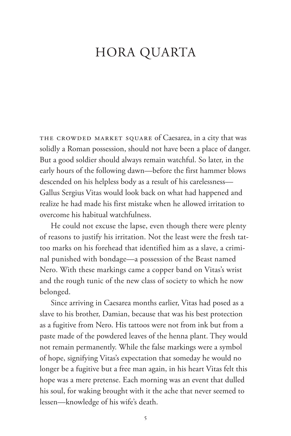### Hora Quarta

THE CROWDED MARKET SQUARE of Caesarea, in a city that was solidly a Roman possession, should not have been a place of danger. But a good soldier should always remain watchful. So later, in the early hours of the following dawn—before the first hammer blows descended on his helpless body as a result of his carelessness— Gallus Sergius Vitas would look back on what had happened and realize he had made his first mistake when he allowed irritation to overcome his habitual watchfulness.

He could not excuse the lapse, even though there were plenty of reasons to justify his irritation. Not the least were the fresh tattoo marks on his forehead that identified him as a slave, a criminal punished with bondage—a possession of the Beast named Nero. With these markings came a copper band on Vitas's wrist and the rough tunic of the new class of society to which he now belonged.

Since arriving in Caesarea months earlier, Vitas had posed as a slave to his brother, Damian, because that was his best protection as a fugitive from Nero. His tattoos were not from ink but from a paste made of the powdered leaves of the henna plant. They would not remain permanently. While the false markings were a symbol of hope, signifying Vitas's expectation that someday he would no longer be a fugitive but a free man again, in his heart Vitas felt this hope was a mere pretense. Each morning was an event that dulled his soul, for waking brought with it the ache that never seemed to lessen—knowledge of his wife's death.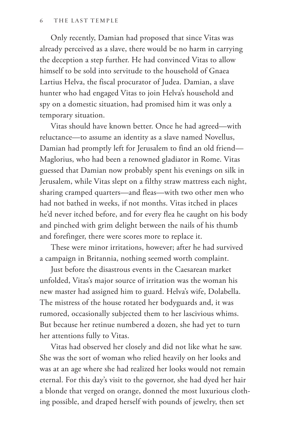Only recently, Damian had proposed that since Vitas was already perceived as a slave, there would be no harm in carrying the deception a step further. He had convinced Vitas to allow himself to be sold into servitude to the household of Gnaea Lartius Helva, the fiscal procurator of Judea. Damian, a slave hunter who had engaged Vitas to join Helva's household and spy on a domestic situation, had promised him it was only a temporary situation.

Vitas should have known better. Once he had agreed—with reluctance—to assume an identity as a slave named Novellus, Damian had promptly left for Jerusalem to find an old friend— Maglorius, who had been a renowned gladiator in Rome. Vitas guessed that Damian now probably spent his evenings on silk in Jerusalem, while Vitas slept on a filthy straw mattress each night, sharing cramped quarters—and fleas—with two other men who had not bathed in weeks, if not months. Vitas itched in places he'd never itched before, and for every flea he caught on his body and pinched with grim delight between the nails of his thumb and forefinger, there were scores more to replace it.

These were minor irritations, however; after he had survived a campaign in Britannia, nothing seemed worth complaint.

Just before the disastrous events in the Caesarean market unfolded, Vitas's major source of irritation was the woman his new master had assigned him to guard. Helva's wife, Dolabella. The mistress of the house rotated her bodyguards and, it was rumored, occasionally subjected them to her lascivious whims. But because her retinue numbered a dozen, she had yet to turn her attentions fully to Vitas.

Vitas had observed her closely and did not like what he saw. She was the sort of woman who relied heavily on her looks and was at an age where she had realized her looks would not remain eternal. For this day's visit to the governor, she had dyed her hair a blonde that verged on orange, donned the most luxurious clothing possible, and draped herself with pounds of jewelry, then set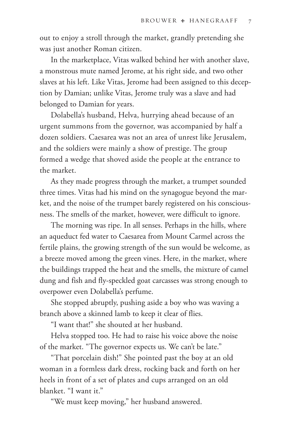out to enjoy a stroll through the market, grandly pretending she was just another Roman citizen.

In the marketplace, Vitas walked behind her with another slave, a monstrous mute named Jerome, at his right side, and two other slaves at his left. Like Vitas, Jerome had been assigned to this deception by Damian; unlike Vitas, Jerome truly was a slave and had belonged to Damian for years.

Dolabella's husband, Helva, hurrying ahead because of an urgent summons from the governor, was accompanied by half a dozen soldiers. Caesarea was not an area of unrest like Jerusalem, and the soldiers were mainly a show of prestige. The group formed a wedge that shoved aside the people at the entrance to the market.

As they made progress through the market, a trumpet sounded three times. Vitas had his mind on the synagogue beyond the market, and the noise of the trumpet barely registered on his consciousness. The smells of the market, however, were difficult to ignore.

The morning was ripe. In all senses. Perhaps in the hills, where an aqueduct fed water to Caesarea from Mount Carmel across the fertile plains, the growing strength of the sun would be welcome, as a breeze moved among the green vines. Here, in the market, where the buildings trapped the heat and the smells, the mixture of camel dung and fish and fly-speckled goat carcasses was strong enough to overpower even Dolabella's perfume.

She stopped abruptly, pushing aside a boy who was waving a branch above a skinned lamb to keep it clear of flies.

"I want that!" she shouted at her husband.

Helva stopped too. He had to raise his voice above the noise of the market. "The governor expects us. We can't be late."

"That porcelain dish!" She pointed past the boy at an old woman in a formless dark dress, rocking back and forth on her heels in front of a set of plates and cups arranged on an old blanket. "I want it."

"We must keep moving," her husband answered.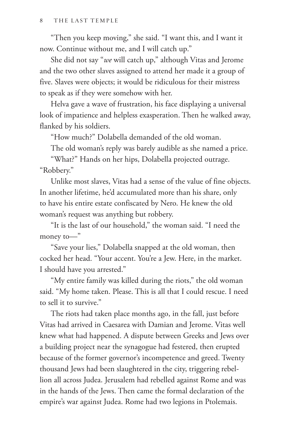"Then you keep moving," she said. "I want this, and I want it now. Continue without me, and I will catch up."

She did not say "*we* will catch up," although Vitas and Jerome and the two other slaves assigned to attend her made it a group of five. Slaves were objects; it would be ridiculous for their mistress to speak as if they were somehow with her.

Helva gave a wave of frustration, his face displaying a universal look of impatience and helpless exasperation. Then he walked away, flanked by his soldiers.

"How much?" Dolabella demanded of the old woman.

The old woman's reply was barely audible as she named a price.

"What?" Hands on her hips, Dolabella projected outrage. "Robbery."

Unlike most slaves, Vitas had a sense of the value of fine objects. In another lifetime, he'd accumulated more than his share, only to have his entire estate confiscated by Nero. He knew the old woman's request was anything but robbery.

"It is the last of our household," the woman said. "I need the money to—"

"Save your lies," Dolabella snapped at the old woman, then cocked her head. "Your accent. You're a Jew. Here, in the market. I should have you arrested."

"My entire family was killed during the riots," the old woman said. "My home taken. Please. This is all that I could rescue. I need to sell it to survive."

The riots had taken place months ago, in the fall, just before Vitas had arrived in Caesarea with Damian and Jerome. Vitas well knew what had happened. A dispute between Greeks and Jews over a building project near the synagogue had festered, then erupted because of the former governor's incompetence and greed. Twenty thousand Jews had been slaughtered in the city, triggering rebellion all across Judea. Jerusalem had rebelled against Rome and was in the hands of the Jews. Then came the formal declaration of the empire's war against Judea. Rome had two legions in Ptolemais.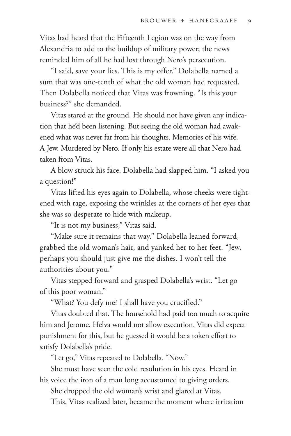Vitas had heard that the Fifteenth Legion was on the way from Alexandria to add to the buildup of military power; the news reminded him of all he had lost through Nero's persecution.

"I said, save your lies. This is my offer." Dolabella named a sum that was one-tenth of what the old woman had requested. Then Dolabella noticed that Vitas was frowning. "Is this your business?" she demanded.

Vitas stared at the ground. He should not have given any indication that he'd been listening. But seeing the old woman had awakened what was never far from his thoughts. Memories of his wife. A Jew. Murdered by Nero. If only his estate were all that Nero had taken from Vitas.

A blow struck his face. Dolabella had slapped him. "I asked you a question!"

Vitas lifted his eyes again to Dolabella, whose cheeks were tightened with rage, exposing the wrinkles at the corners of her eyes that she was so desperate to hide with makeup.

"It is not my business," Vitas said.

"Make sure it remains that way." Dolabella leaned forward, grabbed the old woman's hair, and yanked her to her feet. "Jew, perhaps you should just give me the dishes. I won't tell the authorities about you."

Vitas stepped forward and grasped Dolabella's wrist. "Let go of this poor woman."

"What? You defy me? I shall have you crucified."

Vitas doubted that. The household had paid too much to acquire him and Jerome. Helva would not allow execution. Vitas did expect punishment for this, but he guessed it would be a token effort to satisfy Dolabella's pride.

"Let go," Vitas repeated to Dolabella. "Now."

She must have seen the cold resolution in his eyes. Heard in his voice the iron of a man long accustomed to giving orders.

She dropped the old woman's wrist and glared at Vitas. This, Vitas realized later, became the moment where irritation